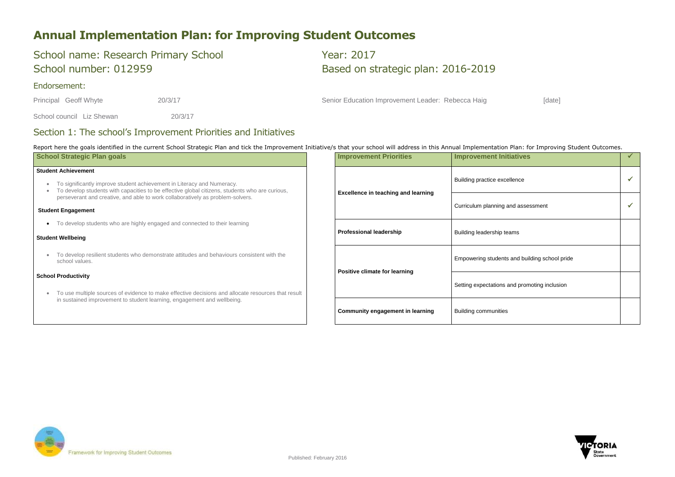

### **Annual Implementation Plan: for Improving Student Outcomes**

# School name: Research Primary School Vear: 2017

# School number: 012959 Based on strategic plan: 2016-2019

### Endorsement:

School council Liz Shewan 20/3/17

Principal Geoff Whyte 20/3/17 20/3/17 Senior Education Improvement Leader: Rebecca Haig [date]

### Section 1: The school's Improvement Priorities and Initiatives

Report here the goals identified in the current School Strategic Plan and tick the Improvement Initiative/s that your school will address in this Annual Implementation Plan: for Improving Student Outcomes.

| <b>School Strategic Plan goals</b>                                                                                                                                                                                                                                                       | <b>Improvement Priorities</b>              | <b>Improvement Initiatives</b>                |  |
|------------------------------------------------------------------------------------------------------------------------------------------------------------------------------------------------------------------------------------------------------------------------------------------|--------------------------------------------|-----------------------------------------------|--|
| <b>Student Achievement</b><br>To significantly improve student achievement in Literacy and Numeracy.<br>To develop students with capacities to be effective global citizens, students who are curious,<br>perseverant and creative, and able to work collaboratively as problem-solvers. | <b>Excellence in teaching and learning</b> | Building practice excellence                  |  |
| <b>Student Engagement</b>                                                                                                                                                                                                                                                                |                                            | Curriculum planning and assessment            |  |
| To develop students who are highly engaged and connected to their learning                                                                                                                                                                                                               |                                            |                                               |  |
| <b>Student Wellbeing</b>                                                                                                                                                                                                                                                                 | <b>Professional leadership</b>             | Building leadership teams                     |  |
| To develop resilient students who demonstrate attitudes and behaviours consistent with the<br>school values.                                                                                                                                                                             |                                            | Empowering students and building school pride |  |
| <b>School Productivity</b><br>To use multiple sources of evidence to make effective decisions and allocate resources that result                                                                                                                                                         | <b>Positive climate for learning</b>       | Setting expectations and promoting inclusion  |  |
| in sustained improvement to student learning, engagement and wellbeing.                                                                                                                                                                                                                  | <b>Community engagement in learning</b>    | <b>Building communities</b>                   |  |

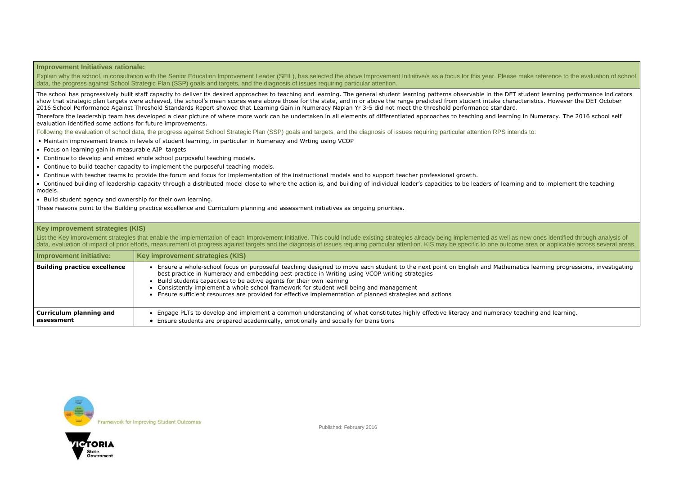ematics learning progressions, investigating teaching

y teaching and learning.

#### **Improvement Initiatives rationale:**

Explain why the school, in consultation with the Senior Education Improvement Leader (SEIL), has selected the above Improvement Initiative/s as a focus for this year. Please make reference to the evaluation of school data, the progress against School Strategic Plan (SSP) goals and targets, and the diagnosis of issues requiring particular attention.

The school has progressively built staff capacity to deliver its desired approaches to teaching and learning. The general student learning patterns observable in the DET student learning performance indicators show that strategic plan targets were achieved, the school's mean scores were above those for the state, and in or above the range predicted from student intake characteristics. However the DET October 2016 School Performance Against Threshold Standards Report showed that Learning Gain in Numeracy Naplan Yr 3-5 did not meet the threshold performance standard.

Therefore the leadership team has developed a clear picture of where more work can be undertaken in all elements of differentiated approaches to teaching and learning in Numeracy. The 2016 school self evaluation identified some actions for future improvements.

Following the evaluation of school data, the progress against School Strategic Plan (SSP) goals and targets, and the diagnosis of issues requiring particular attention RPS intends to:

List the Key improvement strategies that enable the implementation of each Improvement Initiative. This could include existing strategies already being implemented as well as new ones identified through analysis of data, evaluation of impact of prior efforts, measurement of progress against targets and the diagnosis of issues requiring particular attention. KIS may be specific to one outcome area or applicable across several areas.

- Maintain improvement trends in levels of student learning, in particular in Numeracy and Wrting using VCOP
- Focus on learning gain in measurable AIP targets
- Continue to develop and embed whole school purposeful teaching models.
- Continue to build teacher capacity to implement the purposeful teaching models.
- Continue with teacher teams to provide the forum and focus for implementation of the instructional models and to support teacher professional growth.
- Continued building of leadership capacity through a distributed model close to where the action is, and building of individual leader's capacities to be leaders of learning and to implement the teaching models.
- Build student agency and ownership for their own learning.

These reasons point to the Building practice excellence and Curriculum planning and assessment initiatives as ongoing priorities.

#### **Key improvement strategies (KIS)**

| <b>Improvement initiative:</b>               | Key improvement strategies (KIS)                                                                                                                                                                                                                                                                                                                                                                                                                                                                        |
|----------------------------------------------|---------------------------------------------------------------------------------------------------------------------------------------------------------------------------------------------------------------------------------------------------------------------------------------------------------------------------------------------------------------------------------------------------------------------------------------------------------------------------------------------------------|
| <b>Building practice excellence</b>          | Ensure a whole-school focus on purposeful teaching designed to move each student to the next point on English and Mathe<br>best practice in Numeracy and embedding best practice in Writing using VCOP writing strategies<br>Build students capacities to be active agents for their own learning<br>• Consistently implement a whole school framework for student well being and management<br>Ensure sufficient resources are provided for effective implementation of planned strategies and actions |
| <b>Curriculum planning and</b><br>assessment | Engage PLTs to develop and implement a common understanding of what constitutes highly effective literacy and numeracy<br>Ensure students are prepared academically, emotionally and socially for transitions                                                                                                                                                                                                                                                                                           |



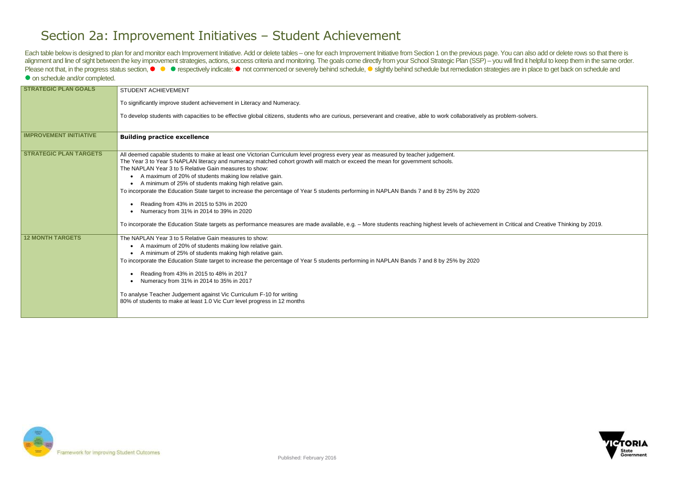ritical and Creative Thinking by 2019.



### Section 2a: Improvement Initiatives – Student Achievement

Each table below is designed to plan for and monitor each Improvement Initiative. Add or delete tables – one for each Improvement Initiative from Section 1 on the previous page. You can also add or delete rows so that ther alignment and line of sight between the key improvement strategies, actions, success criteria and monitoring. The goals come directly from your School Strategic Plan (SSP) - you will find it helpful to keep them in the sam Please not that, in the progress status section, ● ● respectively indicate: ● not commenced or severely behind schedule, ● slightly behind schedule but remediation strategies are in place to get back on schedule and  $\bullet$  on schedule and/or completed.

| <b>STRATEGIC PLAN GOALS</b>   | STUDENT ACHIEVEMENT                                                                                                                                                                                                                                                                                                                                                                                                                                                                                                                                                                                                                                                                                                                                                                                                                                           |
|-------------------------------|---------------------------------------------------------------------------------------------------------------------------------------------------------------------------------------------------------------------------------------------------------------------------------------------------------------------------------------------------------------------------------------------------------------------------------------------------------------------------------------------------------------------------------------------------------------------------------------------------------------------------------------------------------------------------------------------------------------------------------------------------------------------------------------------------------------------------------------------------------------|
|                               | To significantly improve student achievement in Literacy and Numeracy.                                                                                                                                                                                                                                                                                                                                                                                                                                                                                                                                                                                                                                                                                                                                                                                        |
|                               | To develop students with capacities to be effective global citizens, students who are curious, perseverant and creative, able to work collaboratively as problem-solvers.                                                                                                                                                                                                                                                                                                                                                                                                                                                                                                                                                                                                                                                                                     |
| <b>IMPROVEMENT INITIATIVE</b> | <b>Building practice excellence</b>                                                                                                                                                                                                                                                                                                                                                                                                                                                                                                                                                                                                                                                                                                                                                                                                                           |
| <b>STRATEGIC PLAN TARGETS</b> | All deemed capable students to make at least one Victorian Curriculum level progress every year as measured by teacher judgement.<br>The Year 3 to Year 5 NAPLAN literacy and numeracy matched cohort growth will match or exceed the mean for government schools.<br>The NAPLAN Year 3 to 5 Relative Gain measures to show:<br>A maximum of 20% of students making low relative gain.<br>A minimum of 25% of students making high relative gain.<br>To incorporate the Education State target to increase the percentage of Year 5 students performing in NAPLAN Bands 7 and 8 by 25% by 2020<br>Reading from 43% in 2015 to 53% in 2020<br>Numeracy from 31% in 2014 to 39% in 2020<br>To incorporate the Education State targets as performance measures are made available, e.g. - More students reaching highest levels of achievement in Critical and C |
| <b>12 MONTH TARGETS</b>       | The NAPLAN Year 3 to 5 Relative Gain measures to show:<br>A maximum of 20% of students making low relative gain.<br>$\bullet$<br>A minimum of 25% of students making high relative gain.<br>To incorporate the Education State target to increase the percentage of Year 5 students performing in NAPLAN Bands 7 and 8 by 25% by 2020<br>Reading from 43% in 2015 to 48% in 2017<br>Numeracy from 31% in 2014 to 35% in 2017<br>To analyse Teacher Judgement against Vic Curriculum F-10 for writing<br>80% of students to make at least 1.0 Vic Curr level progress in 12 months                                                                                                                                                                                                                                                                             |

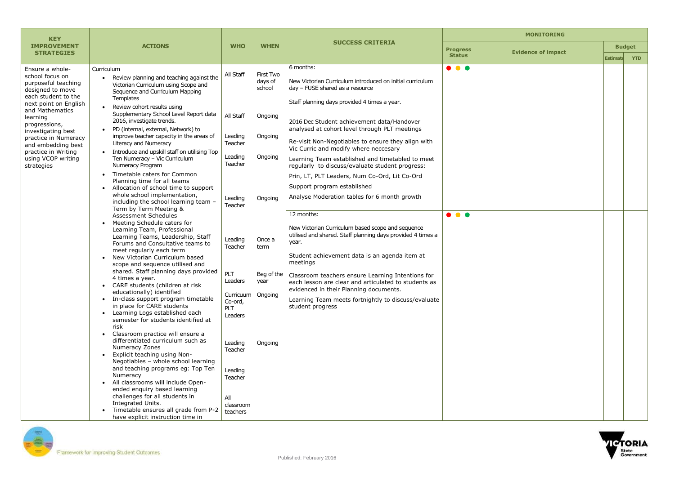| <b>MONITORING</b>        |                                            |                 |            |  |  |
|--------------------------|--------------------------------------------|-----------------|------------|--|--|
| rogress                  | <b>Budget</b><br><b>Evidence of impact</b> |                 |            |  |  |
| <b>Status</b>            |                                            | <b>Estimate</b> | <b>YTD</b> |  |  |
| $\overline{\phantom{a}}$ |                                            |                 |            |  |  |
|                          |                                            |                 |            |  |  |
|                          |                                            |                 |            |  |  |
|                          |                                            |                 |            |  |  |
|                          |                                            |                 |            |  |  |
|                          |                                            |                 |            |  |  |
|                          |                                            |                 |            |  |  |
|                          |                                            |                 |            |  |  |
|                          |                                            |                 |            |  |  |
|                          |                                            |                 |            |  |  |
|                          |                                            |                 |            |  |  |
|                          |                                            |                 |            |  |  |
| $\bullet$                |                                            |                 |            |  |  |
|                          |                                            |                 |            |  |  |
|                          |                                            |                 |            |  |  |
|                          |                                            |                 |            |  |  |
|                          |                                            |                 |            |  |  |
|                          |                                            |                 |            |  |  |
|                          |                                            |                 |            |  |  |
|                          |                                            |                 |            |  |  |
|                          |                                            |                 |            |  |  |
|                          |                                            |                 |            |  |  |
|                          |                                            |                 |            |  |  |
|                          |                                            |                 |            |  |  |
|                          |                                            |                 |            |  |  |
|                          |                                            |                 |            |  |  |
|                          |                                            |                 |            |  |  |
|                          |                                            |                 |            |  |  |
|                          |                                            |                 |            |  |  |
|                          |                                            |                 |            |  |  |
|                          |                                            |                 |            |  |  |



| <b>KEY</b>                                                                                                                                                   |                                                                                                                                                                                                                                                                                                                                                                                                                                                                                                                                                                                                                                                                                                                                                                                            |                                                                          | <b>WHEN</b>                               | <b>SUCCESS CRITERIA</b>                                                                                                                                                                                                        |                                  |  |
|--------------------------------------------------------------------------------------------------------------------------------------------------------------|--------------------------------------------------------------------------------------------------------------------------------------------------------------------------------------------------------------------------------------------------------------------------------------------------------------------------------------------------------------------------------------------------------------------------------------------------------------------------------------------------------------------------------------------------------------------------------------------------------------------------------------------------------------------------------------------------------------------------------------------------------------------------------------------|--------------------------------------------------------------------------|-------------------------------------------|--------------------------------------------------------------------------------------------------------------------------------------------------------------------------------------------------------------------------------|----------------------------------|--|
| <b>IMPROVEMENT</b><br><b>STRATEGIES</b>                                                                                                                      | <b>ACTIONS</b>                                                                                                                                                                                                                                                                                                                                                                                                                                                                                                                                                                                                                                                                                                                                                                             | <b>WHO</b>                                                               |                                           |                                                                                                                                                                                                                                | <b>Progress</b><br><b>Status</b> |  |
| Ensure a whole-<br>school focus on<br>purposeful teaching<br>designed to move<br>each student to the<br>next point on English<br>and Mathematics<br>learning | Curriculum<br>Review planning and teaching against the<br>$\bullet$<br>Victorian Curriculum using Scope and<br>Sequence and Curriculum Mapping<br><b>Templates</b><br>Review cohort results using<br>Supplementary School Level Report data                                                                                                                                                                                                                                                                                                                                                                                                                                                                                                                                                | All Staff<br>All Staff                                                   | First Two<br>days of<br>school<br>Ongoing | 6 months:<br>New Victorian Curriculum introduced on initial curriculum<br>day - FUSE shared as a resource<br>Staff planning days provided 4 times a year.                                                                      | .                                |  |
| progressions,<br>investigating best<br>practice in Numeracy<br>and embedding best<br>practice in Writing                                                     | 2016, investigate trends.<br>PD (internal, external, Network) to<br>$\bullet$<br>improve teacher capacity in the areas of<br>Literacy and Numeracy<br>Introduce and upskill staff on utilising Top                                                                                                                                                                                                                                                                                                                                                                                                                                                                                                                                                                                         | Leading<br>Teacher                                                       | Ongoing                                   | 2016 Dec Student achievement data/Handover<br>analysed at cohort level through PLT meetings<br>Re-visit Non-Negotiables to ensure they align with<br>Vic Curric and modify where neccesary                                     |                                  |  |
| using VCOP writing<br>strategies                                                                                                                             | Ten Numeracy - Vic Curriculum<br>Numeracy Program                                                                                                                                                                                                                                                                                                                                                                                                                                                                                                                                                                                                                                                                                                                                          | Leading<br>Teacher                                                       | Ongoing                                   | Learning Team established and timetabled to meet<br>regularly to discuss/evaluate student progress:                                                                                                                            |                                  |  |
| $\bullet$<br>$\bullet$<br>$\bullet$<br>$\bullet$<br>$\bullet$                                                                                                | Timetable caters for Common<br>Planning time for all teams<br>Allocation of school time to support<br>whole school implementation,<br>including the school learning team -<br>Term by Term Meeting &<br>Assessment Schedules<br>Meeting Schedule caters for<br>Learning Team, Professional<br>Learning Teams, Leadership, Staff<br>Forums and Consultative teams to<br>meet regularly each term<br>New Victorian Curriculum based<br>scope and sequence utilised and<br>shared. Staff planning days provided<br>4 times a year.<br>• CARE students (children at risk<br>educationally) identified<br>In-class support program timetable<br>in place for CARE students<br>Learning Logs established each<br>semester for students identified at<br>risk<br>Classroom practice will ensure a | Leading                                                                  | Ongoing                                   | Prin, LT, PLT Leaders, Num Co-Ord, Lit Co-Ord<br>Support program established<br>Analyse Moderation tables for 6 month growth                                                                                                   |                                  |  |
|                                                                                                                                                              |                                                                                                                                                                                                                                                                                                                                                                                                                                                                                                                                                                                                                                                                                                                                                                                            | Teacher<br>Leading<br>Teacher                                            | Once a<br>term                            | 12 months:<br>New Victorian Curriculum based scope and sequence<br>utilised and shared. Staff planning days provided 4 times a<br>year.<br>Student achievement data is an agenda item at<br>meetings                           | $\bullet$ $\bullet$ $\bullet$    |  |
|                                                                                                                                                              |                                                                                                                                                                                                                                                                                                                                                                                                                                                                                                                                                                                                                                                                                                                                                                                            | PLT<br>Leaders<br>Curricuum  <br>Co-ord,<br>PLT<br>Leaders               | Beg of the<br>year<br>Ongoing             | Classroom teachers ensure Learning Intentions for<br>each lesson are clear and articulated to students as<br>evidenced in their Planning documents.<br>Learning Team meets fortnightly to discuss/evaluate<br>student progress |                                  |  |
|                                                                                                                                                              | differentiated curriculum such as<br>Numeracy Zones<br>Explicit teaching using Non-<br>$\bullet$<br>Negotiables - whole school learning<br>and teaching programs eg: Top Ten<br>Numeracy<br>All classrooms will include Open-<br>ended enquiry based learning<br>challenges for all students in<br>Integrated Units.<br>Timetable ensures all grade from P-2<br>$\bullet$<br>have explicit instruction time in                                                                                                                                                                                                                                                                                                                                                                             | Leading<br>Teacher<br>Leading<br>Teacher<br>All<br>classroom<br>teachers | Ongoing                                   |                                                                                                                                                                                                                                |                                  |  |

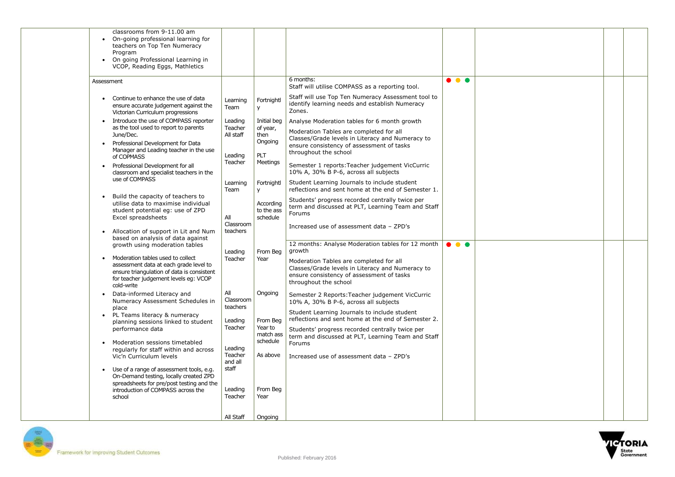



| classrooms from 9-11.00 am<br>On-going professional learning for<br>teachers on Top Ten Numeracy<br>Program<br>On going Professional Learning in<br>VCOP, Reading Eggs, Mathletics                                                                                          |                                                    |                                                        |                                                                                                                                                                                                                                                                                                               |  |
|-----------------------------------------------------------------------------------------------------------------------------------------------------------------------------------------------------------------------------------------------------------------------------|----------------------------------------------------|--------------------------------------------------------|---------------------------------------------------------------------------------------------------------------------------------------------------------------------------------------------------------------------------------------------------------------------------------------------------------------|--|
| Assessment<br>Continue to enhance the use of data<br>$\bullet$<br>ensure accurate judgement against the<br>Victorian Curriculum progressions<br>Introduce the use of COMPASS reporter<br>as the tool used to report to parents                                              | Learning<br>Team<br>Leading<br>Teacher             | Fortnightl<br>У<br>Initial beg<br>of year,             | 6 months:<br>Staff will utilise COMPASS as a reporting tool.<br>Staff will use Top Ten Numeracy Assessment tool to<br>identify learning needs and establish Numeracy<br>Zones.<br>Analyse Moderation tables for 6 month growth                                                                                |  |
| June/Dec.<br>Professional Development for Data<br>Manager and Leading teacher in the use<br>of COPMASS<br>Professional Development for all<br>classroom and specialist teachers in the<br>use of COMPASS                                                                    | All staff<br>Leading<br>Teacher                    | then<br>Ongoing<br><b>PLT</b><br>Meetings              | Moderation Tables are completed for all<br>Classes/Grade levels in Literacy and Numeracy to<br>ensure consistency of assessment of tasks<br>throughout the school<br>Semester 1 reports: Teacher judgement VicCurric<br>10% A, 30% B P-6, across all subjects<br>Student Learning Journals to include student |  |
| Build the capacity of teachers to<br>utilise data to maximise individual<br>student potential eg: use of ZPD<br>Excel spreadsheets<br>Allocation of support in Lit and Num<br>$\bullet$                                                                                     | Learning<br>Team<br>All<br>Classroom<br>teachers   | Fortnightl<br>y<br>According<br>to the ass<br>schedule | reflections and sent home at the end of Semester 1.<br>Students' progress recorded centrally twice per<br>term and discussed at PLT, Learning Team and Staff<br>Forums<br>Increased use of assessment data - ZPD's                                                                                            |  |
| based on analysis of data against<br>growth using moderation tables<br>Moderation tables used to collect<br>assessment data at each grade level to<br>ensure triangulation of data is consistent<br>for teacher judgement levels eg: VCOP<br>cold-write                     | Leading<br>Teacher                                 | From Beg<br>Year                                       | 12 months: Analyse Moderation tables for 12 month<br>growth<br>Moderation Tables are completed for all<br>Classes/Grade levels in Literacy and Numeracy to<br>ensure consistency of assessment of tasks<br>throughout the school                                                                              |  |
| Data-informed Literacy and<br>Numeracy Assessment Schedules in<br>place<br>PL Teams literacy & numeracy<br>$\bullet$<br>planning sessions linked to student<br>performance data                                                                                             | All<br>Classroom<br>teachers<br>Leading<br>Teacher | Ongoing<br>From Beg<br>Year to<br>match ass            | Semester 2 Reports: Teacher judgement VicCurric<br>10% A, 30% B P-6, across all subjects<br>Student Learning Journals to include student<br>reflections and sent home at the end of Semester 2.<br>Students' progress recorded centrally twice per<br>term and discussed at PLT, Learning Team and Staff      |  |
| Moderation sessions timetabled<br>regularly for staff within and across<br>Vic'n Curriculum levels<br>Use of a range of assessment tools, e.g.<br>On-Demand testing, locally created ZPD<br>spreadsheets for pre/post testing and the<br>introduction of COMPASS across the | Leading<br>Teacher<br>and all<br>staff<br>Leading  | schedule<br>As above<br>From Beg                       | Forums<br>Increased use of assessment data - ZPD's                                                                                                                                                                                                                                                            |  |
| school                                                                                                                                                                                                                                                                      | Teacher<br>All Staff                               | Year<br>Ongoing                                        |                                                                                                                                                                                                                                                                                                               |  |

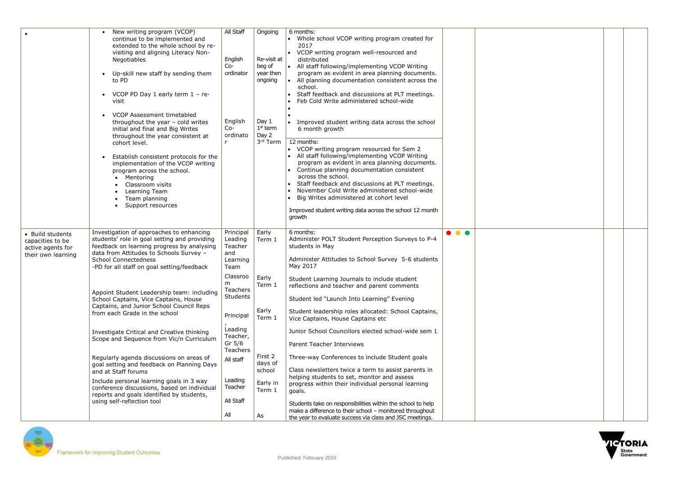



|                                                                                 | New writing program (VCOP)<br>continue to be implemented and<br>extended to the whole school by re-<br>visiting and aligning Literacy Non-<br>Negotiables<br>Up-skill new staff by sending them<br>$\bullet$<br>to PD<br>VCOP PD Day 1 early term $1 - re$<br>$\bullet$<br>visit<br>VCOP Assessment timetabled<br>throughout the year - cold writes<br>initial and final and Big Writes<br>throughout the year consistent at<br>cohort level.<br>Establish consistent protocols for the | All Staff<br>English<br>$Co-$<br>ordinator<br>English<br>$Co-$<br>ordinato<br>r | Ongoing<br>Re-visit at<br>beg of<br>year then<br>ongoing<br>Day 1<br>$1st$ term<br>Day 2<br>3rd Term | 6 months:<br>Whole school VCOP writing program created for<br>2017<br>VCOP writing program well-resourced and<br>$\bullet$<br>distributed<br>$\bullet$<br>All staff following/implementing VCOP Writing<br>program as evident in area planning documents.<br>All planning documentation consistent across the<br>$\bullet$<br>school.<br>Staff feedback and discussions at PLT meetings.<br>Feb Cold Write administered school-wide<br>Improved student writing data across the school<br>6 month growth<br>12 months:<br>• VCOP writing program resourced for Sem 2<br>All staff following/implementing VCOP Writing |   |  |
|---------------------------------------------------------------------------------|-----------------------------------------------------------------------------------------------------------------------------------------------------------------------------------------------------------------------------------------------------------------------------------------------------------------------------------------------------------------------------------------------------------------------------------------------------------------------------------------|---------------------------------------------------------------------------------|------------------------------------------------------------------------------------------------------|-----------------------------------------------------------------------------------------------------------------------------------------------------------------------------------------------------------------------------------------------------------------------------------------------------------------------------------------------------------------------------------------------------------------------------------------------------------------------------------------------------------------------------------------------------------------------------------------------------------------------|---|--|
|                                                                                 | $\bullet$<br>implementation of the VCOP writing<br>program across the school.<br>Mentoring<br>Classroom visits<br>$\bullet$<br>Learning Team<br>Team planning<br>$\bullet$<br>Support resources<br>$\bullet$                                                                                                                                                                                                                                                                            |                                                                                 |                                                                                                      | program as evident in area planning documents.<br>Continue planning documentation consistent<br>across the school.<br>Staff feedback and discussions at PLT meetings.<br>November Cold Write administered school-wide<br>Big Writes administered at cohort level<br>Improved student writing data across the school 12 month<br>growth                                                                                                                                                                                                                                                                                |   |  |
| • Build students<br>capacities to be<br>active agents for<br>their own learning | Investigation of approaches to enhancing<br>students' role in goal setting and providing<br>feedback on learning progress by analysing<br>data from Attitudes to Schools Survey -<br><b>School Connectedness</b><br>-PD for all staff on goal setting/feedback                                                                                                                                                                                                                          | Principal<br>Leading<br>Teacher<br>and<br>Learning<br>Team                      | Early<br>Term 1                                                                                      | 6 months:<br>Administer POLT Student Perception Surveys to P-4<br>students in May<br>Administer Attitudes to School Survey 5-6 students<br>May 2017                                                                                                                                                                                                                                                                                                                                                                                                                                                                   | . |  |
|                                                                                 | Appoint Student Leadership team: including<br>School Captains, Vice Captains, House<br>Captains, and Junior School Council Reps<br>from each Grade in the school                                                                                                                                                                                                                                                                                                                        | Classroo<br>m<br>Teachers<br>Students<br>Principal<br>Leading                   | Early<br>Term 1<br>Early<br>Term 1                                                                   | Student Learning Journals to include student<br>reflections and teacher and parent comments<br>Student led "Launch Into Learning" Evening<br>Student leadership roles allocated: School Captains,<br>Vice Captains, House Captains etc<br>Junior School Councillors elected school-wide sem 1                                                                                                                                                                                                                                                                                                                         |   |  |
|                                                                                 | Investigate Critical and Creative thinking<br>Scope and Sequence from Vic/n Curriculum<br>Regularly agenda discussions on areas of<br>goal setting and feedback on Planning Days<br>and at Staff forums<br>Include personal learning goals in 3 way<br>conference discussions, based on individual                                                                                                                                                                                      | Teacher,<br>Gr $5/6$<br><b>Teachers</b><br>All staff<br>Leading<br>Teacher      | First 2<br>days of<br>school<br>Early in<br>Term 1                                                   | <b>Parent Teacher Interviews</b><br>Three-way Conferences to include Student goals<br>Class newsletters twice a term to assist parents in<br>helping students to set, monitor and assess<br>progress within their individual personal learning<br>goals.                                                                                                                                                                                                                                                                                                                                                              |   |  |
|                                                                                 | reports and goals identified by students,<br>using self-reflection tool                                                                                                                                                                                                                                                                                                                                                                                                                 | All Staff<br>All                                                                | As                                                                                                   | Students take on responsibilities within the school to help<br>make a difference to their school - monitored throughout<br>the year to evaluate success via class and JSC meetings.                                                                                                                                                                                                                                                                                                                                                                                                                                   |   |  |

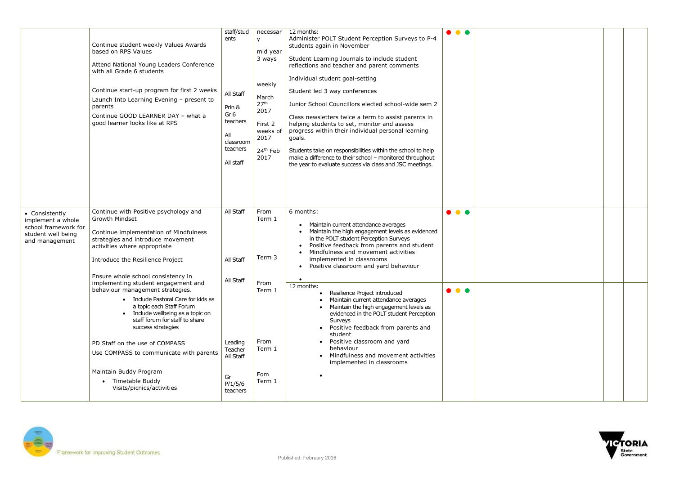

|                                                                                                     | Continue student weekly Values Awards<br>based on RPS Values<br>Attend National Young Leaders Conference<br>with all Grade 6 students<br>Continue start-up program for first 2 weeks<br>Launch Into Learning Evening - present to<br>parents<br>Continue GOOD LEARNER DAY - what a<br>good learner looks like at RPS                                                                                                                                                                                                                                                                                                                                                 | staff/stud<br>ents<br>All Staff<br>Prin &<br>Gr <sub>6</sub><br>teachers<br>All<br>classroom<br>teachers<br>All staff | necessar<br>у<br>mid year<br>3 ways<br>weekly<br>March<br>27 <sup>th</sup><br>2017<br>First 2<br>weeks of<br>2017<br>24 <sup>th</sup> Feb<br>2017 | 12 months:<br>Administer POLT Student Perception Surveys to P-4<br>students again in November<br>Student Learning Journals to include student<br>reflections and teacher and parent comments<br>Individual student goal-setting<br>Student led 3 way conferences<br>Junior School Councillors elected school-wide sem 2<br>Class newsletters twice a term to assist parents in<br>helping students to set, monitor and assess<br>progress within their individual personal learning<br>goals.<br>Students take on responsibilities within the school to help<br>make a difference to their school - monitored throughout<br>the year to evaluate success via class and JSC meetings. | $\bullet$                                          |
|-----------------------------------------------------------------------------------------------------|----------------------------------------------------------------------------------------------------------------------------------------------------------------------------------------------------------------------------------------------------------------------------------------------------------------------------------------------------------------------------------------------------------------------------------------------------------------------------------------------------------------------------------------------------------------------------------------------------------------------------------------------------------------------|-----------------------------------------------------------------------------------------------------------------------|---------------------------------------------------------------------------------------------------------------------------------------------------|--------------------------------------------------------------------------------------------------------------------------------------------------------------------------------------------------------------------------------------------------------------------------------------------------------------------------------------------------------------------------------------------------------------------------------------------------------------------------------------------------------------------------------------------------------------------------------------------------------------------------------------------------------------------------------------|----------------------------------------------------|
| • Consistently<br>implement a whole<br>school framework for<br>student well being<br>and management | Continue with Positive psychology and<br><b>Growth Mindset</b><br>Continue implementation of Mindfulness<br>strategies and introduce movement<br>activities where appropriate<br>Introduce the Resilience Project<br>Ensure whole school consistency in<br>implementing student engagement and<br>behaviour management strategies.<br>• Include Pastoral Care for kids as<br>a topic each Staff Forum<br>Include wellbeing as a topic on<br>staff forum for staff to share<br>success strategies<br>PD Staff on the use of COMPASS<br>Use COMPASS to communicate with parents<br>Maintain Buddy Program<br>Timetable Buddy<br>$\bullet$<br>Visits/picnics/activities | All Staff<br>All Staff<br>All Staff<br>Leading<br>Teacher<br>All Staff<br>Gr<br>P/1/5/6<br>teachers                   | From<br>Term 1<br>Term 3<br>From<br>Term 1<br>From<br>Term 1<br>Fom<br>Term 1                                                                     | 6 months:<br>Maintain current attendance averages<br>Maintain the high engagement levels as evidenced<br>in the POLT student Perception Surveys<br>Positive feedback from parents and student<br>Mindfulness and movement activities<br>implemented in classrooms<br>Positive classroom and yard behaviour<br>12 months:<br>Resilience Project introduced<br>$\bullet$<br>Maintain current attendance averages<br>Maintain the high engagement levels as<br>evidenced in the POLT student Perception<br>Surveys<br>Positive feedback from parents and<br>student<br>Positive classroom and yard<br>behaviour<br>Mindfulness and movement activities<br>implemented in classrooms     | $\bullet\bullet\bullet$<br>$\bullet\bullet\bullet$ |

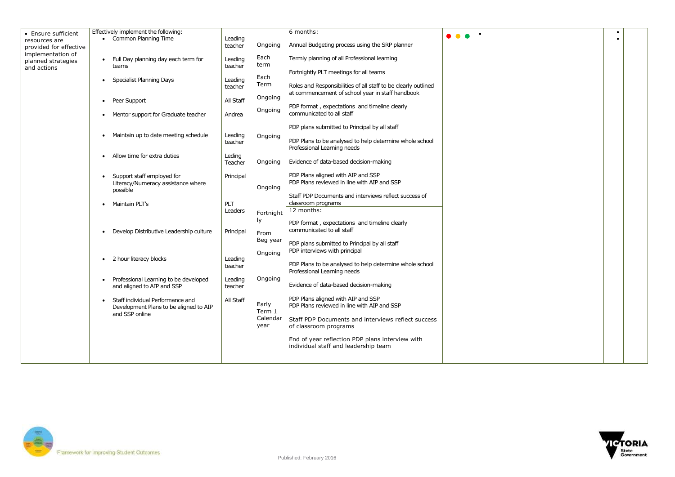| • Ensure sufficient                                    | Effectively implement the following:                                                                      |                    |                            | 6 months:                                                                                                          | $\bullet$ |
|--------------------------------------------------------|-----------------------------------------------------------------------------------------------------------|--------------------|----------------------------|--------------------------------------------------------------------------------------------------------------------|-----------|
| resources are<br>provided for effective                | • Common Planning Time                                                                                    | Leading<br>teacher | Ongoing                    | Annual Budgeting process using the SRP planner                                                                     |           |
| implementation of<br>planned strategies<br>and actions | Full Day planning day each term for<br>$\bullet$<br>teams                                                 | Leading<br>teacher | Each<br>term               | Termly planning of all Professional learning                                                                       |           |
|                                                        | <b>Specialist Planning Days</b><br>$\bullet$                                                              | Leading            | Each                       | Fortnightly PLT meetings for all teams                                                                             |           |
|                                                        |                                                                                                           | teacher            | Term                       | Roles and Responsibilities of all staff to be clearly outlined<br>at commencement of school year in staff handbook |           |
|                                                        | Peer Support<br>$\bullet$                                                                                 | All Staff          | Ongoing                    | PDP format, expectations and timeline clearly                                                                      |           |
|                                                        | Mentor support for Graduate teacher<br>$\bullet$                                                          | Andrea             | Ongoing                    | communicated to all staff                                                                                          |           |
|                                                        |                                                                                                           | Leading            |                            | PDP plans submitted to Principal by all staff                                                                      |           |
|                                                        | Maintain up to date meeting schedule<br>$\bullet$                                                         | teacher            | Ongoing                    | PDP Plans to be analysed to help determine whole school<br>Professional Learning needs                             |           |
|                                                        | Allow time for extra duties<br>$\bullet$                                                                  | Leding<br>Teacher  | Ongoing                    | Evidence of data-based decision-making                                                                             |           |
|                                                        | Support staff employed for                                                                                | Principal          |                            | PDP Plans aligned with AIP and SSP<br>PDP Plans reviewed in line with AIP and SSP                                  |           |
|                                                        | Literacy/Numeracy assistance where<br>possible                                                            |                    | Ongoing                    | Staff PDP Documents and interviews reflect success of                                                              |           |
|                                                        | Maintain PLT's<br>$\bullet$                                                                               | PLT                |                            | classroom programs                                                                                                 |           |
|                                                        |                                                                                                           | Leaders            | Fortnight                  | 12 months:                                                                                                         |           |
|                                                        |                                                                                                           |                    | ly.                        | PDP format, expectations and timeline clearly<br>communicated to all staff                                         |           |
|                                                        | Develop Distributive Leadership culture<br>$\bullet$                                                      | Principal          | From<br>Beg year           |                                                                                                                    |           |
|                                                        |                                                                                                           |                    | Ongoing                    | PDP plans submitted to Principal by all staff<br>PDP interviews with principal                                     |           |
|                                                        | 2 hour literacy blocks<br>$\bullet$                                                                       | Leading<br>teacher |                            | PDP Plans to be analysed to help determine whole school<br>Professional Learning needs                             |           |
|                                                        | Professional Learning to be developed<br>$\bullet$<br>and aligned to AIP and SSP                          | Leading<br>teacher | Ongoing                    | Evidence of data-based decision-making                                                                             |           |
|                                                        | Staff individual Performance and<br>$\bullet$<br>Development Plans to be aligned to AIP<br>and SSP online | All Staff          | Early                      | PDP Plans aligned with AIP and SSP<br>PDP Plans reviewed in line with AIP and SSP                                  |           |
|                                                        |                                                                                                           |                    | Term 1<br>Calendar<br>year | Staff PDP Documents and interviews reflect success<br>of classroom programs                                        |           |
|                                                        |                                                                                                           |                    |                            | End of year reflection PDP plans interview with                                                                    |           |
|                                                        |                                                                                                           |                    |                            | individual staff and leadership team                                                                               |           |
|                                                        |                                                                                                           |                    |                            |                                                                                                                    |           |





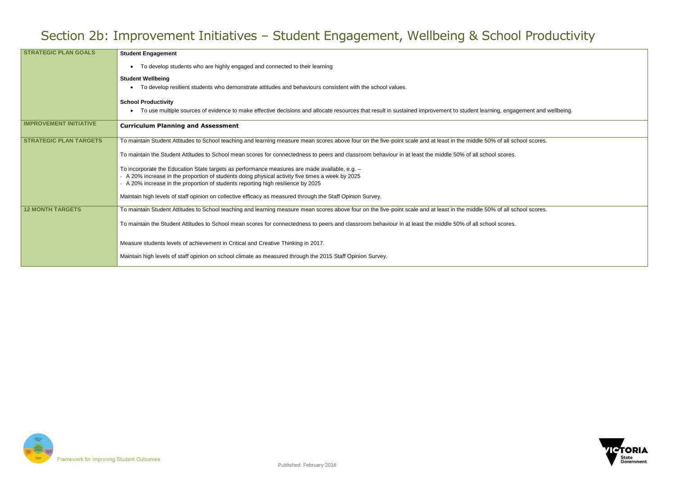gagement and wellbeing.



## Section 2b: Improvement Initiatives – Student Engagement, Wellbeing & School Productivity

| <b>STRATEGIC PLAN GOALS</b>   | <b>Student Engagement</b>                                                                                                                                                            |
|-------------------------------|--------------------------------------------------------------------------------------------------------------------------------------------------------------------------------------|
|                               | To develop students who are highly engaged and connected to their learning                                                                                                           |
|                               | <b>Student Wellbeing</b>                                                                                                                                                             |
|                               | To develop resilient students who demonstrate attitudes and behaviours consistent with the school values.                                                                            |
|                               | <b>School Productivity</b>                                                                                                                                                           |
|                               | To use multiple sources of evidence to make effective decisions and allocate resources that result in sustained improvement to student learning, engagement and                      |
| <b>IMPROVEMENT INITIATIVE</b> | <b>Curriculum Planning and Assessment</b>                                                                                                                                            |
| <b>STRATEGIC PLAN TARGETS</b> | To maintain Student Attitudes to School teaching and learning measure mean scores above four on the five-point scale and at least in the middle 50% of all school scores.            |
|                               | To maintain the Student Attitudes to School mean scores for connectedness to peers and classroom behaviour in at least the middle 50% of all school scores.                          |
|                               | To incorporate the Education State targets as performance measures are made available, e.g. -                                                                                        |
|                               | - A 20% increase in the proportion of students doing physical activity five times a week by 2025<br>- A 20% increase in the proportion of students reporting high resilience by 2025 |
|                               | Maintain high levels of staff opinion on collective efficacy as measured through the Staff Opinion Survey.                                                                           |
|                               |                                                                                                                                                                                      |
| <b>12 MONTH TARGETS</b>       | To maintain Student Attitudes to School teaching and learning measure mean scores above four on the five-point scale and at least in the middle 50% of all school scores.            |
|                               | To maintain the Student Attitudes to School mean scores for connectedness to peers and classroom behaviour in at least the middle 50% of all school scores.                          |
|                               |                                                                                                                                                                                      |
|                               | Measure students levels of achievement in Critical and Creative Thinking in 2017.                                                                                                    |
|                               | Maintain high levels of staff opinion on school climate as measured through the 2015 Staff Opinion Survey.                                                                           |
|                               |                                                                                                                                                                                      |

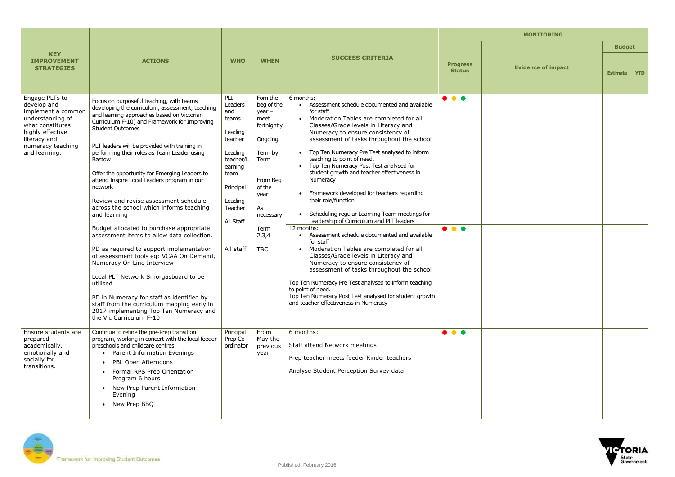| <b>MONITORING</b>           |                           |                 |            |  |  |
|-----------------------------|---------------------------|-----------------|------------|--|--|
|                             |                           | <b>Budget</b>   |            |  |  |
| rogress<br><b>Status</b>    | <b>Evidence of impact</b> | <b>Estimate</b> | <b>YTD</b> |  |  |
| $\overline{\bullet\bullet}$ |                           |                 |            |  |  |
| $\bullet$                   |                           |                 |            |  |  |
| $\bullet$                   |                           |                 |            |  |  |



| <b>KEY</b><br><b>IMPROVEMENT</b><br><b>STRATEGIES</b>                                                                                                                 | <b>ACTIONS</b>                                                                                                                                                                                                                                                                                                                                                                                                                                                                                                                                                                                                                                                                                                                                                                                                                                                                                                                                                                           | <b>WHO</b>                                                                                                                                                   | <b>WHEN</b>                                                                                                                                                            | <b>SUCCESS CRITERIA</b>                                                                                                                                                                                                                                                                                                                                                                                                                                                                                                                                                                                                                                                                                                                                                                                                                                                                                                                                                                                                            | <b>Progress</b><br><b>Status</b>                   |  |
|-----------------------------------------------------------------------------------------------------------------------------------------------------------------------|------------------------------------------------------------------------------------------------------------------------------------------------------------------------------------------------------------------------------------------------------------------------------------------------------------------------------------------------------------------------------------------------------------------------------------------------------------------------------------------------------------------------------------------------------------------------------------------------------------------------------------------------------------------------------------------------------------------------------------------------------------------------------------------------------------------------------------------------------------------------------------------------------------------------------------------------------------------------------------------|--------------------------------------------------------------------------------------------------------------------------------------------------------------|------------------------------------------------------------------------------------------------------------------------------------------------------------------------|------------------------------------------------------------------------------------------------------------------------------------------------------------------------------------------------------------------------------------------------------------------------------------------------------------------------------------------------------------------------------------------------------------------------------------------------------------------------------------------------------------------------------------------------------------------------------------------------------------------------------------------------------------------------------------------------------------------------------------------------------------------------------------------------------------------------------------------------------------------------------------------------------------------------------------------------------------------------------------------------------------------------------------|----------------------------------------------------|--|
| Engage PLTs to<br>develop and<br>implement a common<br>understanding of<br>what constitutes<br>highly effective<br>literacy and<br>numeracy teaching<br>and learning. | Focus on purposeful teaching, with teams<br>developing the curriculum, assessment, teaching<br>and learning approaches based on Victorian<br>Curriculum F-10) and Framework for Improving<br><b>Student Outcomes</b><br>PLT leaders will be provided with training in<br>performing their roles as Team Leader using<br><b>Bastow</b><br>Offer the opportunity for Emerging Leaders to<br>attend Inspire Local Leaders program in our<br>network<br>Review and revise assessment schedule<br>across the school which informs teaching<br>and learning<br>Budget allocated to purchase appropriate<br>assessment items to allow data collection.<br>PD as required to support implementation<br>of assessment tools eg: VCAA On Demand,<br>Numeracy On Line Interview<br>Local PLT Network Smorgasboard to be<br>utilised<br>PD in Numeracy for staff as identified by<br>staff from the curriculum mapping early in<br>2017 implementing Top Ten Numeracy and<br>the Vic Curriculum F-10 | PLt<br>Leaders<br>and<br>teams<br>Leading<br>teacher<br>Leading<br>teacher/L<br>earning<br>team<br>Principal<br>Leading<br>Teacher<br>All Staff<br>All staff | Fom the<br>beg of the<br>$year -$<br>meet<br>fortnightly<br>Ongoing<br>Term by<br>Term<br>From Beg<br>of the<br>year<br>As<br>necessary<br>Term<br>2,3,4<br><b>TBC</b> | 6 months:<br>Assessment schedule documented and available<br>for staff<br>Moderation Tables are completed for all<br>Classes/Grade levels in Literacy and<br>Numeracy to ensure consistency of<br>assessment of tasks throughout the school<br>Top Ten Numeracy Pre Test analysed to inform<br>teaching to point of need.<br>Top Ten Numeracy Post Test analysed for<br>student growth and teacher effectiveness in<br>Numeracy<br>Framework developed for teachers regarding<br>their role/function<br>Scheduling regular Learning Team meetings for<br>Leadership of Curriculum and PLT leaders<br>12 months:<br>Assessment schedule documented and available<br>for staff<br>Moderation Tables are completed for all<br>Classes/Grade levels in Literacy and<br>Numeracy to ensure consistency of<br>assessment of tasks throughout the school<br>Top Ten Numeracy Pre Test analysed to inform teaching<br>to point of need.<br>Top Ten Numeracy Post Test analysed for student growth<br>and teacher effectiveness in Numeracy | $\bullet\bullet\bullet$<br>$\bullet\bullet\bullet$ |  |
| Ensure students are<br>prepared<br>academically,<br>emotionally and<br>socially for<br>transitions.                                                                   | Continue to refine the pre-Prep transition<br>program, working in concert with the local feeder<br>preschools and childcare centres.<br>Parent Information Evenings<br>PBL Open Afternoons<br>$\bullet$<br>Formal RPS Prep Orientation<br>Program 6 hours<br>New Prep Parent Information<br>$\bullet$<br>Evening<br>New Prep BBQ<br>$\bullet$                                                                                                                                                                                                                                                                                                                                                                                                                                                                                                                                                                                                                                            | Principal<br>Prep Co-<br>ordinator                                                                                                                           | From<br>May the<br>previous<br>year                                                                                                                                    | 6 months:<br>Staff attend Network meetings<br>Prep teacher meets feeder Kinder teachers<br>Analyse Student Perception Survey data                                                                                                                                                                                                                                                                                                                                                                                                                                                                                                                                                                                                                                                                                                                                                                                                                                                                                                  | $\bullet$ $\bullet$ $\bullet$                      |  |

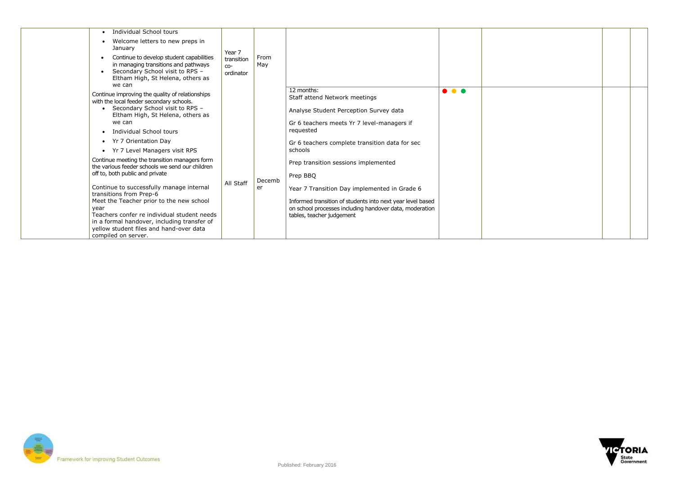

| <b>Individual School tours</b><br>Welcome letters to new preps in<br>January<br>Continue to develop student capabilities<br>$\bullet$<br>in managing transitions and pathways<br>Secondary School visit to RPS -<br>$\bullet$<br>Eltham High, St Helena, others as<br>we can                                                                                                                                                                                                                                                                                                                                                                                                                               | Year 7<br>transition<br>$CO-$<br>ordinator | From<br>May  |                                                                                                                                                                                                                                                                                                                                                                                                                                                                         |                               |  |
|------------------------------------------------------------------------------------------------------------------------------------------------------------------------------------------------------------------------------------------------------------------------------------------------------------------------------------------------------------------------------------------------------------------------------------------------------------------------------------------------------------------------------------------------------------------------------------------------------------------------------------------------------------------------------------------------------------|--------------------------------------------|--------------|-------------------------------------------------------------------------------------------------------------------------------------------------------------------------------------------------------------------------------------------------------------------------------------------------------------------------------------------------------------------------------------------------------------------------------------------------------------------------|-------------------------------|--|
| Continue improving the quality of relationships<br>with the local feeder secondary schools.<br>Secondary School visit to RPS -<br>Eltham High, St Helena, others as<br>we can<br><b>Individual School tours</b><br>Yr 7 Orientation Day<br>Yr 7 Level Managers visit RPS<br>Continue meeting the transition managers form<br>the various feeder schools we send our children<br>off to, both public and private<br>Continue to successfully manage internal<br>transitions from Prep-6<br>Meet the Teacher prior to the new school<br>year<br>Teachers confer re individual student needs<br>in a formal handover, including transfer of<br>yellow student files and hand-over data<br>compiled on server. | All Staff                                  | Decemb<br>er | 12 months:<br>Staff attend Network meetings<br>Analyse Student Perception Survey data<br>Gr 6 teachers meets Yr 7 level-managers if<br>requested<br>Gr 6 teachers complete transition data for sec<br>schools<br>Prep transition sessions implemented<br>Prep BBQ<br>Year 7 Transition Day implemented in Grade 6<br>Informed transition of students into next year level based<br>on school processes including handover data, moderation<br>tables, teacher judgement | $\bullet$ $\bullet$ $\bullet$ |  |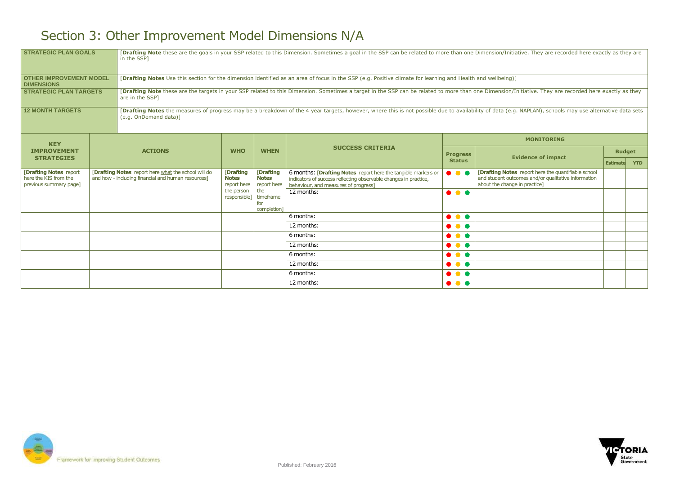nitiative. They are recorded here exactly as they are

on/Initiative. They are recorded here exactly as they

(e.g. NAPLAN), schools may use alternative data sets

## Section 3: Other Improvement Model Dimensions N/A

| <b>STRATEGIC PLAN GOALS</b>                                                     |                | in the SSP]                                                                                                                                                                                              |                                                |                                                | [Drafting Note these are the goals in your SSP related to this Dimension. Sometimes a goal in the SSP can be related to more than one Dimension/Initiative. They are reco |                                  |                                                                                                                       |  |  |
|---------------------------------------------------------------------------------|----------------|----------------------------------------------------------------------------------------------------------------------------------------------------------------------------------------------------------|------------------------------------------------|------------------------------------------------|---------------------------------------------------------------------------------------------------------------------------------------------------------------------------|----------------------------------|-----------------------------------------------------------------------------------------------------------------------|--|--|
| <b>OTHER IMPROVEMENT MODEL</b><br><b>DIMENSIONS</b>                             |                |                                                                                                                                                                                                          |                                                |                                                | [Drafting Notes Use this section for the dimension identified as an area of focus in the SSP (e.g. Positive climate for learning and Health and wellbeing)]               |                                  |                                                                                                                       |  |  |
| <b>STRATEGIC PLAN TARGETS</b>                                                   |                | are in the SSP1                                                                                                                                                                                          |                                                |                                                | [Drafting Note these are the targets in your SSP related to this Dimension. Sometimes a target in the SSP can be related to more than one Dimension/Initiative. They are  |                                  |                                                                                                                       |  |  |
| <b>12 MONTH TARGETS</b>                                                         |                | <b>Drafting Notes</b> the measures of progress may be a breakdown of the 4 year targets, however, where this is not possible due to availability of data (e.g. NAPLAN), schools<br>(e.g. OnDemand data)] |                                                |                                                |                                                                                                                                                                           |                                  |                                                                                                                       |  |  |
| <b>KEY</b>                                                                      |                |                                                                                                                                                                                                          |                                                |                                                | <b>SUCCESS CRITERIA</b>                                                                                                                                                   |                                  | <b>MONITORING</b>                                                                                                     |  |  |
| <b>IMPROVEMENT</b><br><b>STRATEGIES</b>                                         | <b>ACTIONS</b> |                                                                                                                                                                                                          | <b>WHO</b>                                     | <b>WHEN</b>                                    |                                                                                                                                                                           | <b>Progress</b><br><b>Status</b> | <b>Evidence of impact</b>                                                                                             |  |  |
| <b>Drafting Notes report</b><br>here the KIS from the<br>previous summary page] |                | <b>[Drafting Notes</b> report here what the school will do<br>and how - including financial and human resources]                                                                                         | <b>Drafting</b><br><b>Notes</b><br>report here | <b>Drafting</b><br><b>Notes</b><br>report here | 6 months: [Drafting Notes report here the tangible markers or<br>indicators of success reflecting observable changes in practice,<br>behaviour, and measures of progress] | $\bullet\bullet\bullet$          | <b>Drafting Notes</b> report here the quar<br>and student outcomes and/or qualitativ<br>about the change in practice] |  |  |
|                                                                                 |                |                                                                                                                                                                                                          | the person<br>responsible]                     | the<br>timeframe<br>for<br>completion]         | 12 months:                                                                                                                                                                | $\bullet\bullet\bullet$          |                                                                                                                       |  |  |
|                                                                                 |                |                                                                                                                                                                                                          |                                                |                                                | 6 months:                                                                                                                                                                 | $\bullet\bullet\bullet$          |                                                                                                                       |  |  |
|                                                                                 |                |                                                                                                                                                                                                          |                                                |                                                | 12 months:                                                                                                                                                                | $\bullet\bullet\bullet$          |                                                                                                                       |  |  |
|                                                                                 |                |                                                                                                                                                                                                          |                                                |                                                | 6 months:                                                                                                                                                                 | $\bullet\bullet\bullet$          |                                                                                                                       |  |  |
|                                                                                 |                |                                                                                                                                                                                                          |                                                |                                                | 12 months:                                                                                                                                                                | $\bullet\bullet\bullet$          |                                                                                                                       |  |  |
|                                                                                 |                |                                                                                                                                                                                                          |                                                |                                                | 6 months:                                                                                                                                                                 | $\bullet\bullet\bullet$          |                                                                                                                       |  |  |
|                                                                                 |                |                                                                                                                                                                                                          |                                                |                                                | 12 months:                                                                                                                                                                | $\bullet\bullet\bullet$          |                                                                                                                       |  |  |
|                                                                                 |                |                                                                                                                                                                                                          |                                                |                                                | 6 months:                                                                                                                                                                 | $\bullet\bullet\bullet$          |                                                                                                                       |  |  |
|                                                                                 |                |                                                                                                                                                                                                          |                                                |                                                | 12 months:                                                                                                                                                                | $\bullet\bullet\bullet$          |                                                                                                                       |  |  |



| <b>MONITORING</b> |                                                                                                                                             |                 |            |  |  |  |
|-------------------|---------------------------------------------------------------------------------------------------------------------------------------------|-----------------|------------|--|--|--|
| <b>Progress</b>   | <b>Evidence of impact</b>                                                                                                                   | <b>Budget</b>   |            |  |  |  |
| <b>Status</b>     |                                                                                                                                             | <b>Estimate</b> | <b>YTD</b> |  |  |  |
|                   | [Drafting Notes report here the quantifiable school<br>and student outcomes and/or qualitative information<br>about the change in practice] |                 |            |  |  |  |
|                   |                                                                                                                                             |                 |            |  |  |  |
|                   |                                                                                                                                             |                 |            |  |  |  |
|                   |                                                                                                                                             |                 |            |  |  |  |
|                   |                                                                                                                                             |                 |            |  |  |  |
|                   |                                                                                                                                             |                 |            |  |  |  |
|                   |                                                                                                                                             |                 |            |  |  |  |
|                   |                                                                                                                                             |                 |            |  |  |  |
|                   |                                                                                                                                             |                 |            |  |  |  |
|                   |                                                                                                                                             |                 |            |  |  |  |